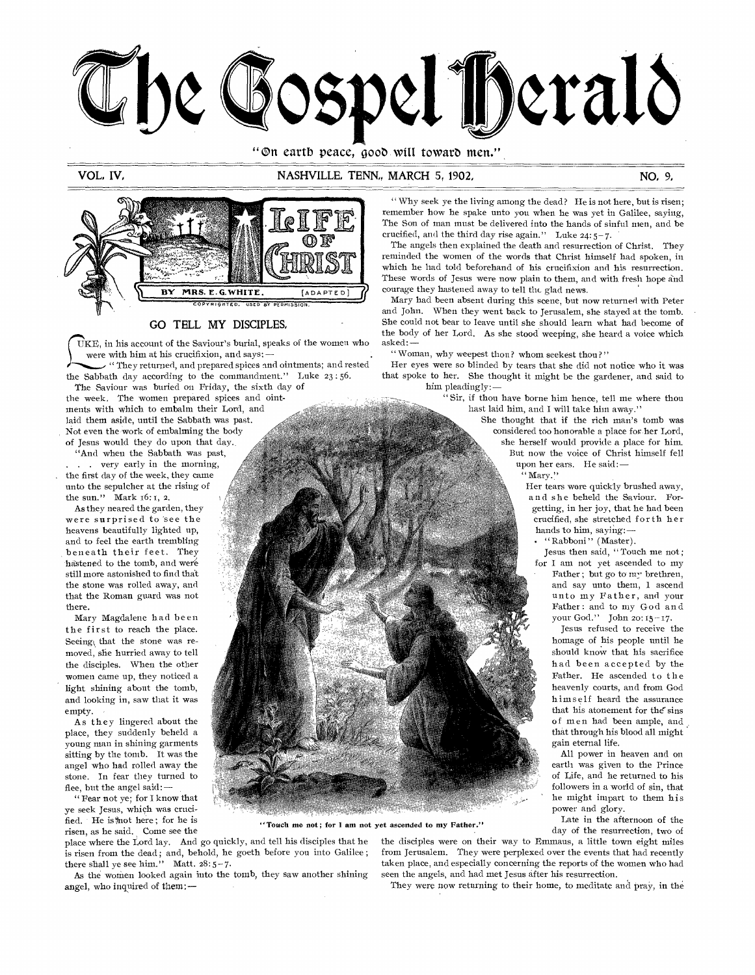

"On earth peace, good will toward men."

# VOL, IV, NO, 9, NASHVILLE, TENN, MARCH 5, 1902, NO, 9, NO, 9, NO, 9, NO, 9, NO, 9, NO, 9, NO, 9, NO, 9, NO, 9, NO, 9, NO, 9, NO, 9, NO, 9, NO, 9, NO, 9, NO, 9, NO, 9, NO, 9, NO, 9, NO, 9, NO, 9, NO, 9, NO, 9, NO, 9, NO, 9,

**"Touch me not; for I am not yet ascended to my Father."** 



# GO TELL MY DISCIPLES,

UKE, in his account of the Saviour's burial, speaks of the women who were with him at his crucifixion, and says: -

" They returned, and prepared spices and ointments; and rested the Sabbath day according to the commandment." Luke 23 : 56. The Saviour was buried on Friday, the sixth day of

the week. The women prepared spices and ointments with which to embalm their Lord, and laid them aside, until the Sabbath was past. Not even the work of embalming the body of Jesus would they do upon that day.

"And when the Sabbath was past, . very early in the morning, the first day of the week, they came unto the sepulcher at the rising of the sun." Mark  $16:1$ , 2.

As they neared the garden, they were surprised to see the heavens beautifully lighted up, and to feel the earth trembling beneath their feet. They hastened to the tomb, and were still more astonished to find that the stone was rolled away, and that the Roman guard was not there.

Mary Magdalene had been the first to reach the place. Seeing\ that the stone was removed, she hurried away to tell the disciples. When the other women came up, they noticed a light shining about the tomb, and looking in, saw that it was empty.

As they lingered about the place, they suddenly beheld a young man in shining garments sitting by the tomb. It was the angel who had rolled away the stone. In fear they turned to flee, but the angel said:—

" Pear not ye; for I know that ye seek Jesus, which was crucified. He is not here; for he is risen, as he said. Come see the

place where the Lord lay. And go quickly, and tell his disciples that he is risen from the dead; and, behold, he goeth before you into Galilee; there shall ye see him." Matt.  $28:5-7$ .

As the women looked again into the tomb, they saw another shining angel, who inquired of them:—

the disciples were on their way to Emmaus, a little town eight miles from Jerusalem. They were perplexed over the events that had recently taken place, and especially concerning the reports of the women who had seen the angels, and had met Jesus after his resurrection.

They were now returning to their home, to meditate and pray, in the

" Why seek ye the living among the dead? He is not here, but is risen; remember how he spake unto you when he was yet in Galilee, saying, The Son of man must be delivered into the hands of sinful men, and be crucified, and the third day rise again." Luke  $24:5-7$ .

The angels then explained the death and resurrection of Christ. They reminded the women of the words that Christ himself had spoken, in which he had told beforehand of his crucifixion and his resurrection. These words of Jesus were now plain to them, and with fresh hope and courage they hastened away to tell the glad news.

Mary had been absent during this scene, but now returned with Peter and John. When they went back to Jerusalem, she stayed at the tomb. She could not bear to leave until she should learn what had become of the body of her Lord. As she stood weeping, she heard a voice which asked:—

" Woman, why weepest thou? whom seekest thou?"

Her eyes were so blinded by tears that she did not notice who it was that spoke to her. She thought it might be the gardener, and said to him pleadingly:—

" Sir, if thou have borne him hence, tell me where thou bast laid him, and I will take him away."

> She thought that if the rich man's tomb was considered too honorable a place for her Lord, she herself would provide a place for him. But now the voice of Christ himself fell upon her ears. He said:— ' Mary.'

Her tears were quickly brushed away, and she beheld the Saviour. Forgetting, in her joy, that he had been crucified, she stretched forth her hands to him, saying: —

- "Rabboni" (Master).
- Jesus then said, " Touch me not ; for I am not yet ascended to my Father; but go to my brethren, and say unto them, 1 ascend unto my Father, and your Father : and to my God and your God." John 20: 15-17.

Jesus refused to receive the homage of his people until he should know that his sacrifice had been accepted by the Father. He ascended to the heavenly courts, and from God himself heard the assurance that his atonement for the sins of men had been ample, and that through his blood all might gain eternal life.

All power in heaven and on earth was given to the Prince of Life, and he returned to his followers in a world of sin, that he might impart to them his power and glory.

Late in the afternoon of the day of the resurrection, two of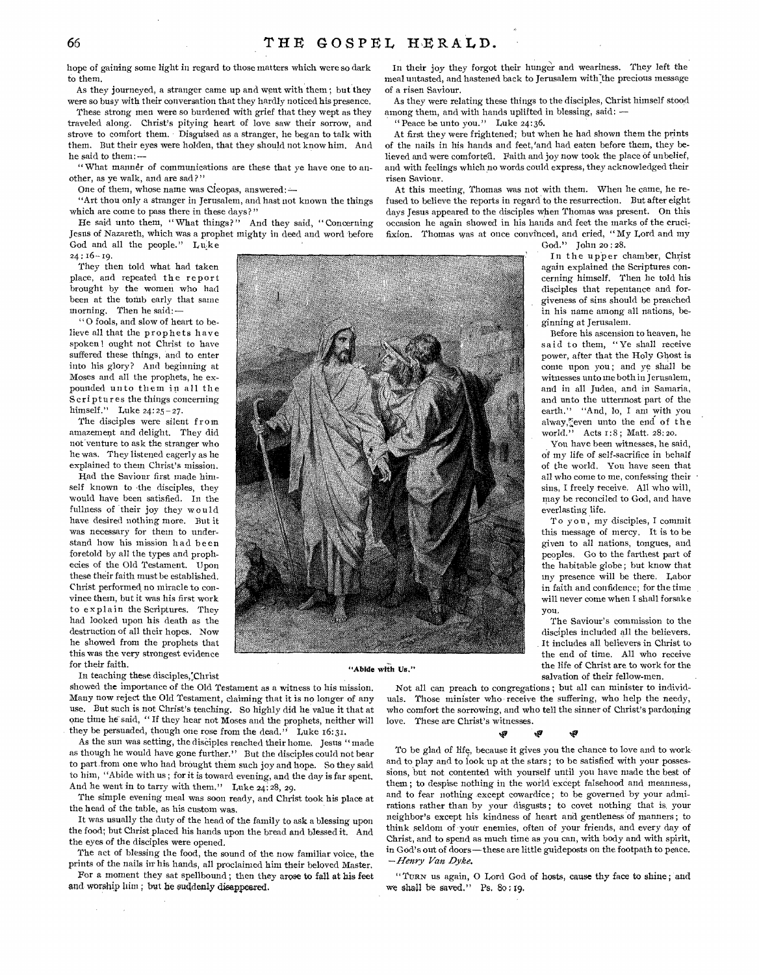hope of gaining some light in regard to those matters which were so dark to them.

As they journeyed, a stranger came up and went with them ; but they were so busy with their conversation that they hardly noticed his presence.

These strong men were so burdened with grief that they wept as they traveled along. Christ's pitying heart of love saw their sorrow, and strove to comfort them. Disguised as a stranger, he began to talk with them. But their eyes were holden, that they should not know him. And he said to them:—

" What manner of communications are these that ye have one to another, as ye walk, and are sad?"

One of them, whose name was Cleopas, answered: -

"Art thou only a stranger in Jerusalem, and hast not known the things which are come to pass there in these days?"

He said unto them, " What things?" And they said, " Concerning Jesus of Nazareth, which was a prophet mighty in deed and word before God and all the people." Luke

 $24:16 - 19.$ 

They then told what had taken place, and repeated the report brought by the women who had been at the tomb early that same morning. Then he said:—

" 0 fools, and slow of heart to believe all that the prophets have spoken! ought not Christ to have suffered these things, and to enter into his glory? And beginning at Moses and all the prophets, he expounded unto them in all the Scriptures the things concerning himself." Luke 24:25-27.

The disciples were silent from amazement and delight. They did not venture to ask the stranger who he was. They listened eagerly as he explained to them Christ's mission.

Had the Saviour first made himself known to the disciples, they would have been satisfied. In the fullness of their joy they would have desired nothing more. But it was necessary for them to understand how his mission had been foretold by all the types and prophecies of the Old Testament. Upon these their faith must be established. Christ performed no miracle to convince them, but it was his first work to explain the Scriptures. They had looked upon his death as the destruction of all their hopes. Now he showed from the prophets that this was the very strongest evidence for their faith.

In teaching these disciples, Christ

showed the importance of the Old Testament as a witness to his mission. Many now reject the Old Testament, claiming that it is no longer of any use. But such is not Christ's teaching. So highly did he value it that at one time he said, " If they hear not Moses and the prophets, neither will they be persuaded, though one rose from the dead." Luke 16:31.

As the sun was setting, the disciples reached their home. Jesus " made as though he would have gone further." But the disciples could not bear to part from one who had brought them such joy and hope. So they said to him, "Abide with us ; for it is toward evening, and the day is far spent. And he went in to tarry with them." Luke 24: 28, 29.

The simple evening meal was soon ready, and Christ took his place at the head of the table, as his custom was.

It was usually the duty of the head of the family to ask a blessing upon the food; but Christ placed his hands upon the bread and blessed it. And the eyes of the disciples were opened.

The act of blessing the food, the sound of the now familiar voice, the prints of the nails in his hands, all proclaimed him their beloved Master. For a moment they sat spellbound ; then they arose to fall at his feet

and worship him ; but he suddenly disappeared.

In their joy they forgot their hunger and weariness. They left the meal untasted, and hastened back to Jerusalem with the precious message of a risen Saviour.

As they were relating these things to the disciples, Christ himself stood among them, and with hands uplifted in blessing, said: —

" Peace be unto you." Luke 24:36.

At first they were frightened; but when he had shown them the prints of the nails in his hands and feet,'and had eaten before them, they believed and were comforted. Faith and joy now took the place of unbelief, and with feelings which no words could express, they acknowledged their risen Saviour.

At this meeting, Thomas was not with them. When he came, he refused to believe the reports in regard to the resurrection. But after eight days Jesus appeared to the disciples when Thomas was present. On this occasion he again showed in his hands and feet the marks of the crucifixion. Thomas was at once convinced, and cried, "My Lord and my God." John 20 : 28.

> In the upper chamber, Christ again explained the Scriptures concerning himself. Then he told his disciples that repentance and forgiveness of sins should be preached in his name among all nations, beginning at Jerusalem.

> Before his ascension to heaven, he said to them, " Ye shall receive power, after that the Holy Ghost is come upon you ; and ye shall be witnesses unto me both in Jerusalem, and in all Judea, and in Samaria, and unto the uttermost part of the earth." "And, lo, I am with you alway, even unto the end of the world." Acts 1:8; Matt. 28: 20.

You have been witnesses, he said, of my life of self-sacrifice in behalf of the world. You have seen that all who come to me, confessing their sins, I freely receive. All who will, may be reconciled to God, and have everlasting life.

To you, my disciples, I commit this message of mercy. It is to be given to all nations, tongues, and peoples. Go to the farthest part of the habitable globe ; but know that my presence will be there. Labor in faith and confidence; for the time will never come when I shall forsake you.

The Saviour's commission to the disciples included all the believers. It includes all believers in Christ to the end of time. All who receive the life of Christ are to work for the salvation of their fellow-men.

Not all can preach to congregations ; but all can minister to individuals. Those minister who receive the suffering, who help the needy, who comfort the sorrowing, and who tell the sinner of Christ's pardoning love. These are Christ's witnesses.

**t?** 

To be glad of life, because it gives you the chance to love and to work and to play and to look up at the stars ; to be satisfied with your possessions, but not contented with yourself until you have made the best of them ; to despise nothing in the world except falsehood and meanness, and to fear nothing except cowardice ; to be governed by your admirations rather than by your disgusts ; to covet nothing that is, your neighbor's except his kindness of heart and gentleness of manners ; to think seldom of your enemies, often of your friends, and every day of Christ, and to spend as much time as you can, with body and with spirit, in God's out of doors—these are little guideposts on the footpath to peace. *—Henry Van Dyke.* 

" TURN us again, 0 Lord God of hosts, cause thy face to shine ; and we shall be saved," Ps. So; t9.



**"Abide with Us."**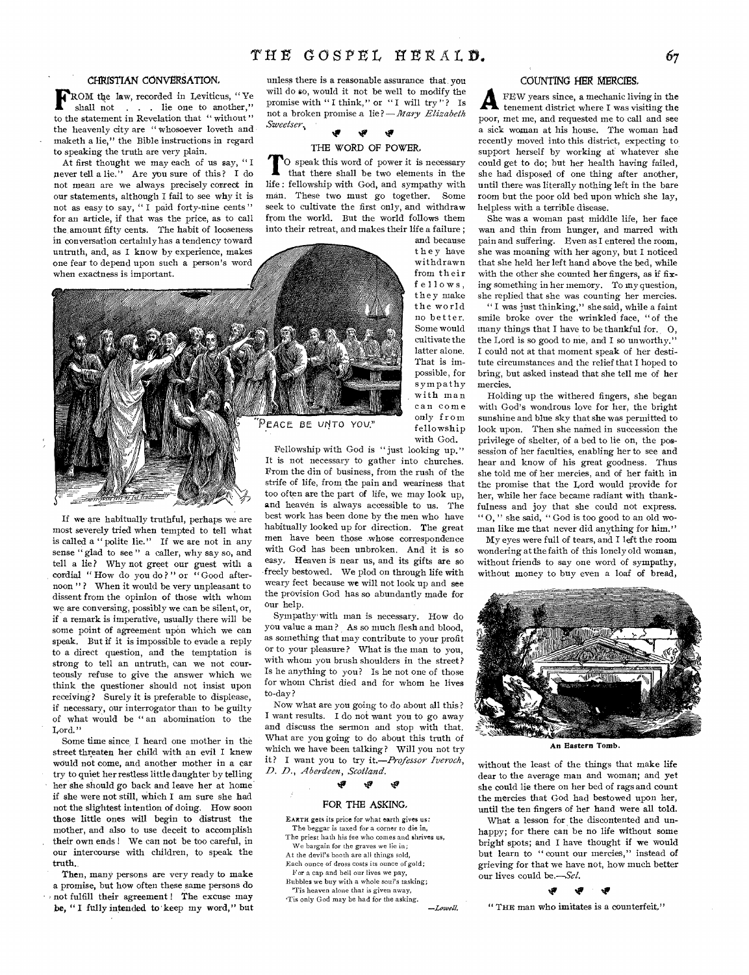# CHRISTIAN CONVERSATION,

**FROM** the law, recorded in Leviticus, "Ye shall not . . . . lie one to another," shall not . . . lie one to another," to the statement in Revelation that " without " the heavenly city are " whosoever loveth and maketh a lie," the Bible instructions in regard to speaking the truth are very plain.

At first thought we may each of us say, " I never tell a lie." Are you sure of this? I do not mean are we always precisely correct in our statements, although I fail to see why it is not as easy to say, " I paid forty-nine cents" for an article, if that was the price, as to call the, amount fifty cents. The habit of looseness in conversation certainly has a tendency toward untruth, and, as I know by experience, makes one fear to depend upon such a person's word when exactness is important.

unless there *is a* reasonable assurance that you will do so, would it not be well to modify the promise with "I think," or "I will try"? Is not a broken promise a lie?-Mary Elizabeth *Sweelser,* 

## *di II*  THE WORD OF POWER.

**T** O speak this word of power it is necessary that there shall be two elements in the life : fellowship with God, and sympathy with man. These two must go together. Some seek to cultivate the first only, and withdraw from the world. But the world follows them into their retreat, and makes their life a failure ;

and because they have withdrawn from their fellows, they make the world no better. Some would cultivate the latter alone. That is impossible, for sympathy with man can come only from fellowship with God.



If we are habitually truthful, perhaps we are most severely tried when tempted to tell what is called a "polite lie." If we are not in any sense "glad to see" a caller, why say so, and tell a lie? Why not greet our guest with a cordial " How do you do?" or "Good afternoon "? When it would be very unpleasant to dissent from the opinion of those with whom we are conversing, possibly we can be silent, or, if a remark is imperative, usually there will be some point of agreement upon which we can speak. But if it is impossible to evade a reply to a direct question, and the temptation is strong to tell an untruth, can we not courteously refuse to give the answer which we think the questioner should not insist upon receiving? Surely it is preferable to displease, if necessary, our interrogator than to be guilty of what would be " an abomination to the Lord."

Some time since I heard one mother in the street threaten her child with an evil I knew would not come, and another mother in a car try to quiet her restless little daughter by telling her she should go back and leave her at home if she were not still, which I am sure she had not the slightest intention of doing. How soon those little ones will begin to distrust the mother, and also to use deceit to accomplish their own ends ! We can not be too careful, in our intercourse with children, to speak the truth.

Then, many persons are very ready to make a promise, but how often these same persons do not fulfill their agreement ! The excuse may be, " I fully intended to keep my word," but

Fellowship with God is "just looking up." It is not necessary to gather into churches. From the din of business, from the rush of the strife of life, from the pain and weariness that too often are the part of life, we may look up, and heaven is always accessible to us. The best work has been done by the men who have habitually looked up for direction. The great men have been those whose correspondence with God has been unbroken. And it is so easy. Heaven is near us, and its gifts are so freely bestowed. We plod on through life with weary feet because we will not look up and see the provision God has so abundantly made for our help.

Sympathy with man is necessary. How do you value a man ? As so much flesh and blood, as something that may contribute to your profit or to your pleasure? What is the man to you, with whom you brush shoulders in the street? Is he anything to you? Is he not one of those for whom Christ died and for whom he lives to-day ?

Now what are you going to do about all this? I want results. I do not want you to go away and discuss the sermon and stop with that. What are you going to do about this truth of which we have been talking? Will you not try it? I want you to try *it.—Professor Iveroch, D. D., Aberdeen, Scotland.* 

# **ti7 '42**

### FOR THE ASKING,

EARTH gets its price for what earth gives us: The beggar is taxed for a corner to die in,

The priest hath his fee who comes and shrives us, We bargain for the graves we lie in;

At the devil's booth are all things sold, Each ounce of dross costs its ounce of gold;

For a cap and bell our lives we pay,

Bubbles we buy with a whole soul's tasking; 'Tis heaven alone that is given away,

'Tis only God may be had for the asking. *—Lowell.* 

## COUNTING HER MERCIES,

FEW years since, a mechanic living in the tenement district where I was visiting the poor, met me, and requested me to call and see a sick woman at his house. The woman had recently moved into this district, expecting to support herself by working at whatever she could get to do; but her health having failed, she had disposed of one thing after another, until there was literally nothing left in the bare room but the poor old bed upon which she lay, helpless with a terrible disease.

She was a woman past middle life, her face wan and thin from hunger, and marred with pain and suffering. Even as I entered the room, she was moaning with her agony, but I noticed that she held her left hand above the bed, while with the other she counted her fingers, as if fixing something in her memory. To my question, she replied that she was counting her mercies.

"I was just thinking," she said, while a faint smile broke over the wrinkled face, " of the many things that I have to be thankful for. 0, the Lord is so good to me, and I so unworthy." I could not at that moment speak of her destitute circumstances and the relief that I hoped to bring, but asked instead that she tell me of her mercies.

Holding up the withered fingers, she began with God's wondrous love for her, the bright sunshine and blue sky that she was permitted to look upon. Then she named in succession the privilege of shelter, of a bed to lie on, the possession of her faculties, enabling her to see and hear and know of his great goodness. Thus she told me of her mercies, and of her faith in the promise that the Lord would provide for her, while her face became radiant with thankfulness and joy that she could not express. " 0, " she said, " God is too good to an old woman like me that never did anything for him."

My eyes were full of tears, and I left the room wondering at the faith of this lonely old woman, without friends to say one word of sympathy, without money to buy even a loaf of bread,



An Eastern Tomb.

without the least of the things that make life dear to the average man and woman; and yet she could lie there on her bed of rags and count the mercies that God had bestowed upon her, until the ten fingers of her hand were all told.

What a lesson for the discontented and unhappy; for there can be no life without some bright spots; and I have thought if we would but learn to "count our mercies," instead of grieving for that we have not, how much better our lives could be.—Sel.



" THE man who imitates is a counterfeit,"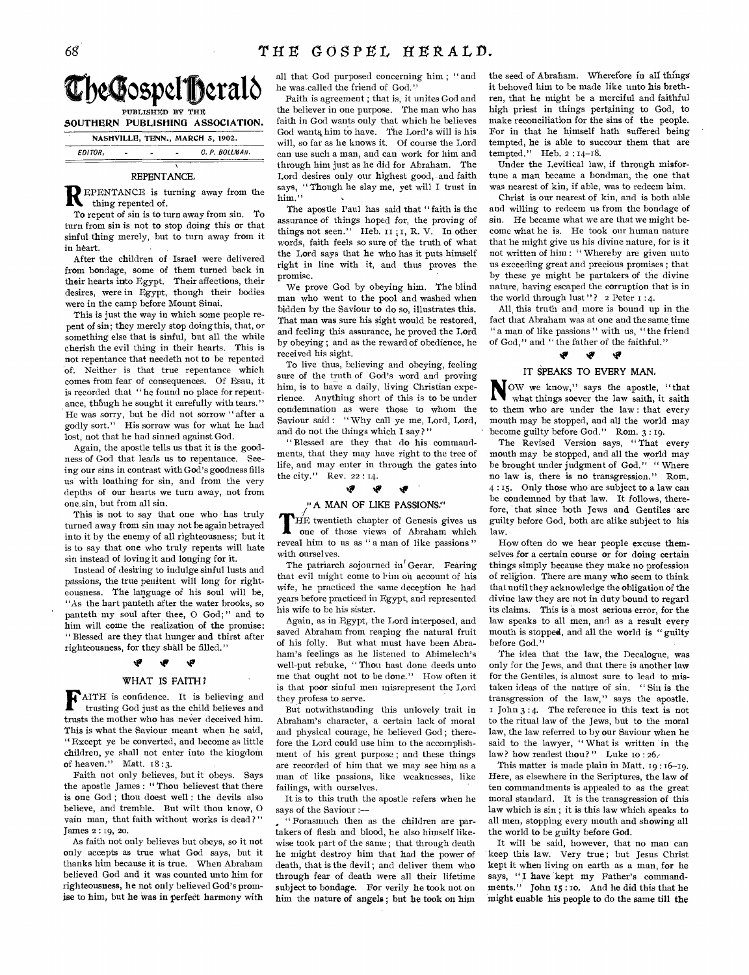

**SOUTHERN PUBLISHING ASSOCIATION.** 

NASHVILLE, TENN., MARCH 5, 1902. EDITOR,  $\qquad \qquad \qquad \qquad$  C. P. BOLLMAN.

## REPENTANCE.

**REPENTANCE** is turning away from the thing repented of. thing repented of.

To repent of sin is to turn away from sin. To turn from sin is not to stop doing this or that sinful thing merely, but to turn away from it in heart.

After the children of Israel were delivered from bondage, some of them turned back in their hearts into Egypt. Their affections, their desires, were in Egypt, though their bodies were in the camp before Mount Sinai.

This is just the way in which some people repent of sin; they merely stop doing this, that, or something else that is sinful, but all the while cherish the evil thing in their hearts. This is not repentance that needeth not to be repented of. Neither is that true repentance which comes from fear of consequences. Of Esau, it is recorded that " he found no place for repentance, though he sought it carefully with tears." He was sorry, but he did not sorrow " after a godly sort." His sorrow was for what he had lost, not that he had sinned against God.

Again, the apostle tells us that it is the goodness of God that leads us to repentance. Seeing our sins in contrast with God's goodness fills us with loathing for sin, and from the very depths of our hearts we turn away, not from one, sin, but from all sin.

This is not to say that one who has truly turned away from sin may not be again betrayed into it by the enemy of all righteousness; but it is to say that one who truly repents will hate sin instead of loving it and longing for it.

Instead of desiring to indulge sinful lusts and passions, the true penitent **will** long for righteousness. The language of his **soul** will be, "As the hart panteth after the water brooks, so panteth my soul after thee, O God;" and to him **will** come the realization of the promise: " Blessed are they that hunger and thirst after righteousness, for they shall be filled."

#### **qv**  ₩

# **WHAT** IS FAITH

F AITH is confidence. It is believing and trusting God just as the child believes and trusts the mother who has never deceived him. This is what the Saviour meant when he said, " Except ye be converted, and become as little children, ye shall not enter into the kingdom of heaven." Matt. 18:3.

Faith not only believes, but it obeys. Says the apostle James : " Thou believest that there is one God ; thou doest well : the devils also believe, and tremble. But **wilt thou** know, 0 vain man, that faith without works is dead?" James 2 : 19, 20.

As faith not only believes but obeys, so it not only accepts as true what God says, but it thanks him because it is true. When Abraham believed God and **it was counted unto him for righteousness, he not only believed God's promise to him, but he was in perfect harmony with**  **all** that God purposed concerning him ; " and he was called the friend of God."

Faith is agreement ; that is, it unites God and the believer in one purpose. The man who has faith in God wants only that which he believes God wants him to have. The Lord's will is his will, so far as he knows it. Of course the Lord can use such a man, and can work for him and through him just as he **did for** Abraham. The Lord desires only our highest good, and faith says, " Though he slay me, yet will I trust in him."  $\mathbf{R}$ 

The apostle Paul has said that "faith is the assurance of things hoped for, the proving of things not seen." Heb. II ;I, R. V. In other words, faith feels so sure of the truth of what the Lord says that he who has it puts himself right in line with it, and thus proves **the**  promise.

We prove God by obeying him. The blind man who went to the pool and washed when bidden by the Saviour to do so, illustrates this. That man was sure his sight would be restored, and feeling this assurance, he proved the Lord by obeying ; and as the reward of obedience, he received his sight.

To live thus, believing and obeying, feeling sure of the truth of God's word and proving him, is to have a daily, living Christian experience. Anything short of this is to be under condemnation as were those to whom the Saviour said : " Why call ye me, Lord, Lord, and do not the things which I say?"

" Blessed are they that do his commandments, that they may have right to the tree of life, and may enter in through the gates into the city." Rev. 22 : 14.

#### P **tr V**

### **" A MAN OF LIKE PASSIONS:"**

HE twentieth chapter of Genesis gives us one of those views of Abraham which reveal him to us as " a man of like passions " with ourselves.

The patriarch sojourned in' Gerar. Fearing that evil might come to bim on account of his wife, he practiced the same deception he had years before practiced in Egypt, and represented his wife to be his sister.

Again, as in Egypt, the Lord interposed, and saved Abraham from reaping **the** natural fruit of his folly. But what must have been Abraham's feelings as he listened to Abimelech's well-put rebuke, " Thou hast done deeds unto me that ought not to be done." How often it is that poor sinful men misrepresent the Lord they profess to serve.

But notwithstanding this unlovely trait in Abraham's character, a certain lack of moral and physical courage, he believed God ; therefore the Lord could use him to the accomplishment of his great purpose ; and these things are recorded of him that we may see him as a man of like passions, like weaknesses, like failings, with ourselves.

It is to this truth the apostle refers when he says of the Saviour :—

" Forasmuch then as the children are partakers of flesh and blood, he also himself likewise took part of the same ; that through death he might destroy him that had the power of death, **that is the** devil ; and deliver them **who through fear of death were all their lifetime subject to bondage. For verily he took not on him the nature of angels; but he took on him** 

the seed of Abraham. Wherefore in all things it **behoved him to be made like unto his brethren, that he might be a merciful and faithful high priest in things pertaining to God, to make reconciliation for the sins of the people. For in that he himself hath suffered being tempted, he is able to succour them that are tempted." Heb.** 2 :14-18.

**Under the Levitical law, if through misfortune a man became a bondman, the one that**  was nearest of kin, if able, was to **redeem him.** 

**Christ is our nearest of kin, and is both able and willing to redeem us from the bondage of sin. He became what we are that we might become what he is. He took our human nature that he might give us his** divine nature, for is **it**  not written of him : " Whereby are given unto us exceeding great and precious promises ; that by these ye might be partakers of the divine nature, having escaped the corruption that is in the world through lust "?  $2$  Peter  $1:4$ .

All this truth and more is bound up **in the fact that Abraham was at one and** the same **time " a man of like passions " with us, " the friend of God," and " the father of the faithful."** 

### **iv %Iv 'p**

### **IT SPEAKS TO EVERY** MAN,

**N** OW we know," says **the apostle, "that what things soever the law saith, it saith to them who are under the law : that every mouth may be stopped, and all the world may become guilty before God." Rom. 3 : 19.** 

The Revised Version says, **" That every mouth may be stopped, and all the world may be brought under judgment of God." " Where no law is, there is no transgression." Rom. 4 :15. Only those who are subject to a law can be condemned by that law. It follows, there**fore, that since both Jews and Gentiles are **guilty** before God, both are alike subject to his **law.** 

**How often do we hear people excuse themselves for a certain course or for doing certain things simply because** they **make no profession of religion. There are many who seem to think that until they acknowledge the obligation of the divine law they are not in duty bound to regard its claims. This is a most serious error, for the law speaks to all men, and as a result every mouth is stopped, and all the world is " guilty before God."** 

**The idea that the law, the Decalogue, was only for the Jews, and that there is another law for the Gentiles, is almost sure to lead to mistaken ideas of the nature of sin. " Sin is the transgression of the law," says the apostle. John 3 4. The reference in this text is not to the ritual law of the Jews, but to the moral law, the law referred to by our Saviour when he said to the lawyer, " What is written in the law? how readest thou?" Luke 10 : 26.** 

**This matter is made plain in Matt. 19 : 16-19. Here, as elsewhere in the Scriptures, the law of ten commandments is appealed to as the great moral standard. It is the transgression of this law which is sin ; it is this law which speaks to all men, stopping every mouth and showing all the world to be guilty before God.** 

**It will be said, however, that no man can keep this law. Very true ; but Jesus Christ kept it when living on earth as a man,** for **he says, " I have kept my Father's** commandments." John 15 : io. And he did this that he might enable his people to do the same till the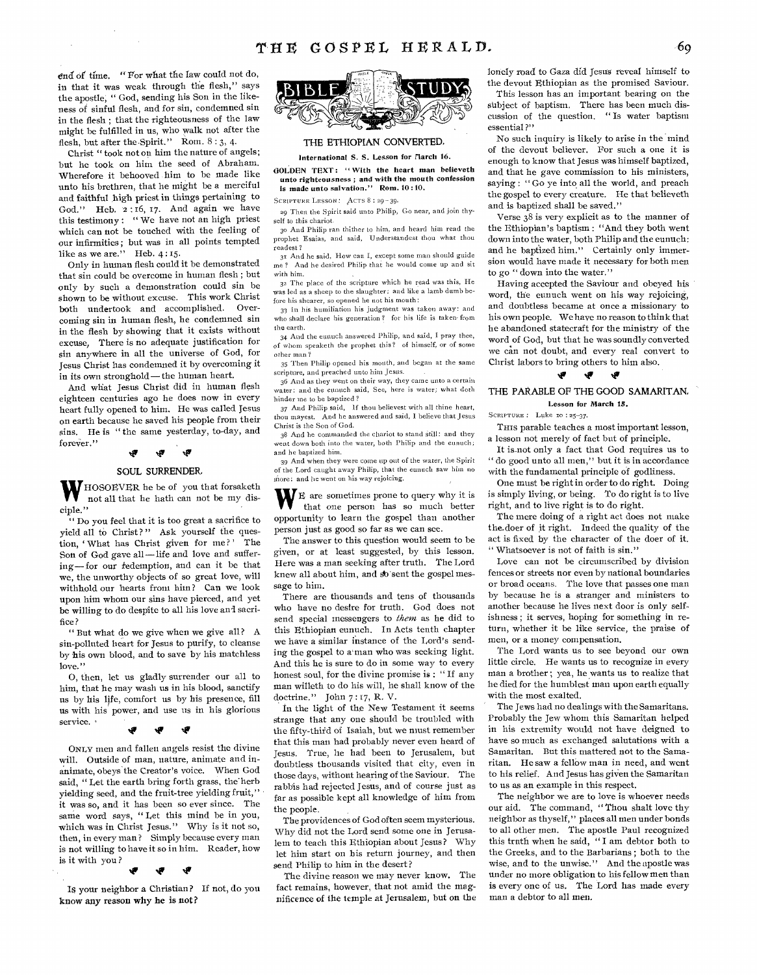**end of time. "For what the law could not do, in that it was weak through the flesh," says the apostle, " God, sending his Son in the likeness of sinful flesh, and for sin, condemned sin in the flesh ; that the righteousness of the law might be fulfilled in us, who walk not after the flesh, but after the Spirit." Rom. 8 : 3, 4.** 

 $\mathcal{L}$ 

**Christ " took not on him the nature of angels; but he took on him the seed of Abraham. Wherefore it behooved him to be made like unto his brethren, that he might be a merciful and faithful high priest in things pertaining to God." Heb. 2 :16, 17. And again we have this testimony : " We have not an high priest which can not be touched with the feeling of our infirmities ; but was in all points tempted like as we are." Heb. 4:15.** 

**Only in human flesh could** it **be demonstrated that sin could be overcome in human flesh ; but only by such a demonstration could sin be shown to be without excuse. This work Christ both undertook and accomplished. Overcoming sin in human flesh, he condemned sin in the flesh by showing that it exists without excuse, There is no adequate justification for sin anywhere in all the universe of God, for Jesus Christ has condemned it by overcoming it in its own stronghold—the human heart.** 

**And what Jesus Christ did in human flesh eighteen centuries ago he does now in every heart fully opened to him. He was called Jesus on earth because he saved his people from their sins. He is " the same yesterday, to-day, and**  forever."

### Ŵ ٩J

### **SOUL SURRENDER.**

**WHOSOEVER he be of you that forsaketh not all that he hath can not be my disciple."** 

**" Do you feel that it is too great a sacrifice to**  yield all to Christ?" Ask yourself the ques**tion, ' What has Christ given for me ? ' The Son of God gave all—life and love and suffering—for our fedemption, and can it be that we, the unworthy objects of so great love, will withhold our hearts from him? Can we look upon him whom our sins have pierced, and yet be willing to do despite to all his love and sacrifice ?** 

**" But what do we give when we give all ? A sin-polluted heart for** Jesus to **purify, to cleanse by his own blood, and to save by his matchless love."** 

**0, then,** let us **gladly surrender our all to him, that he may wash us in his blood, sanctify us by his life, comfort us by his presence, fill us with his power, and use us in his glorious service.** 

**Niv** 

**ONLY men and fallen angels resist the divine will. Outside of man, nature, animate and inanimate, obeys the Creator's voice. When God said, " Let the earth bring forth grass, the'herb yielding seed, and the fruit-tree yielding fruit," it was so, and it has been so ever since. The same word says, " Let this mind be in you, which was in Christ Jesus." Why is it not so, then, in every man ? Simply because every man is not** willing to **have it so in him. Reader, how is it** with **you ?** 

**Is your neighbor a Christian ?** If **not, do you know any reason why he is not?** 



# **THE ETHIOPIAN CONVERTED.**

**International S. S. Lesson for 'larch 16. GOLDEN TEXT : " With the heart man believeth** 

**unto righteousness ; and with the mouth confession is made unto salvation." Rom. 10 : 10. SCRIPTURE LESSON: ACTS 8 : 29 - 39.** 

**29 Then the Spirit said unto Philip, Go near, and join thy-**

**self to this chariot. <sup>3</sup>. And Philip ran thither to him, and heard him read the prophet Esaias, and said, Understandest thou what thou readest** 1

**3x And he said, How can I, except some man should guide me ? And he desired Philip that he would come up and sit with him.** 

**32 The place of the scripture which he read was this, He was led as a sheep to the slaughter; and like a lamb dumb before his shearer, so opened he not his mouth:** 

**33 In his humiliation his judgment was taken away: and who shall declare his generation ? for his life is taken• from the earth.** 

**34 And the eunuch answered Philip, and said, I pray thee, of whom speaketh the prophet this? of himself, or of some other man ?** 

**35 Then Philip opened his mouth, and began at the** *same*  **scripture, and preached unto him Jesus.** 

**36 And as they went on their way, they came unto a certain water: and the eunuch said, See, here is water; what doth hinder Inc to be baptized ?** 

**37 And Philip said, if thou believest with all thine heart, thou mayest. And he answered and said, I believe that Jesus Christ is the Son of God.** 

**38 And he commanded the chariot to stand still: and they**  went down both into the water, both Philip and the eunuch; **and he baptized him.** 

**39 And when they were come up out of the water, the Spirit of the Lord caught away Philip, that the eunuch saw him no more: and he went on his way rejoicing.** 

WE are sometimes **prone to query why it is that** one person **has so much** better **opportunity to** learn **the** gospel than another **person just** as good so **far** as we can see.

The **answer to** this question **would** seem to be given, **or at** least suggested, by this lesson. **Here** was a man seeking **after truth. The Lord knew** all **about** him, **and sb sent the** gospel **message** to him.

**There are** thousands and tens of thousands who **have no desire for truth.** God does not send **special** messengers to *them* as he did to **this Ethiopian eunuch. In Acts** tenth chapter **we have** a similar instance of the **Lord's** sending the gospel to a' man **who** was seeking light. **And** this he is sure to do in some way to every honest soul, for the divine promise is : "If any man willeth to do his will, he shall know of the **doctrine."** John 7: 17, R. V.

In the light of the New Testament it seems strange that any one should he troubled with the fifty-thifd of Isaiah, but we must remember that this man had probably never even heard of Jesus. True, he had been to Jerusalem, but doubtless thousands visited that **city,** even in those days, without hearing of the **Saviour.** The rabbis had rejected Jesus, and of course just as far as possible kept all knowledge of him from the people.

The providences of God often seem mysterious. Why did not **the Lord** send some one in Jerusalem to teach this Ethiopian about Jesus? Why let him start on his return journey, and then **send** Philip to him in the desert?

The divine reason we may **never** know. The **fact remains, however, that not** amid **the** magnificence **of the temple at Jerusalem, but on the**  lonely **road to Gaza did** Jesus **reveal** himself to the devout Ethiopian as the promised Saviour.

This lesson has an important bearing on the subject of baptism. There has been much **discussion** of the question. " Is water **baptism**  essential ?"

No such inquiry is likely to arise in the **mind**  of the devout believer. For such a one it is enough to **know** that Jesus **was** himself **baptized,**  and that he gave commission to **his ministers,**  saying : " Go ye into **all the** world, and **preach the** gospel to every creature. **He that believeth**  and is baptized shall be saved."

Verse 38 is **very explicit** as to the manner of the Ethiopian's baptism : "And they both went down into the water, both Philip and the **eunuch: and** he baptized him." Certainly only immersion **would** have made it necessary for **both** men to go " down into the water."

Having accepted the **Saviour** and obeyed his word, the eunuch went on his way rejoicing, and doubtless became at once a missionary to his own people. We have no reason to **think** that he abandoned statecraft for the ministry of the word of God, but that **he was soundly** converted we can not doubt, and every real convert to Christ labors to bring others to him also.

### Ŵ

**THE PARABLE OF THE GOOD SAMARITAN, Lesson for March 15.** 

**SCRIPTURE : Luke to :** 55-37,

THIS parable teaches a most important lesson, a lesson not merely of fact but of principle.

It is\_not only a fact that God requires us to **" do good** unto all men," but it is in accordance with the fundamental principle of godliness.

One must be right in order to do right. Doing is simply living, or being. To do right is to live right, and to live right is to do right.

The mere doing of a right act does not make the.doer of it right. Indeed the quality of the act is fixed by the character of the doer of it. " Whatsoever is not of faith is sin."

Love can not be circumscribed by division fences or streets **nor** even by national boundaries or broad **oceans.** The love that passes one man by because he is a stranger and ministers to another because he lives next door is only selfishness ; it serves, hoping for something in return, whether it be like service, the praise of men, or a money compensation.

The Lord wants us to see beyond our own little circle. He wants us to recognize in every man a brother ; yea, he wants us to realize that he died for the humblest man upon earth equally with the most exalted.

The Jews had no dealings with the **Samaritans.**  Probably the Jew whom this Samaritan helped in his extremity **would not** have deigned to have so much as exchanged salutations with a Samaritan. But this mattered not to the **Samaritan.** He saw a fellow man in need, and **went**  to his relief. And Jesus has given the Samaritan to us as an example in this **respect.** 

The neighbor we are to love is whoever needs our **aid.** The command, " **Thou** shalt love thy neighbor as thyself," places all men **under** bonds to all other men. The apostle Paul recognized this truth when he said, " I am debtor **both** to the Greeks, and to the Barbarians ; both to the wise, and to the unwise." **And the** apostle was under **no more obligation to** his fellow men than is every one of us. The **Lord** has **made every man a debtor to** all **men.**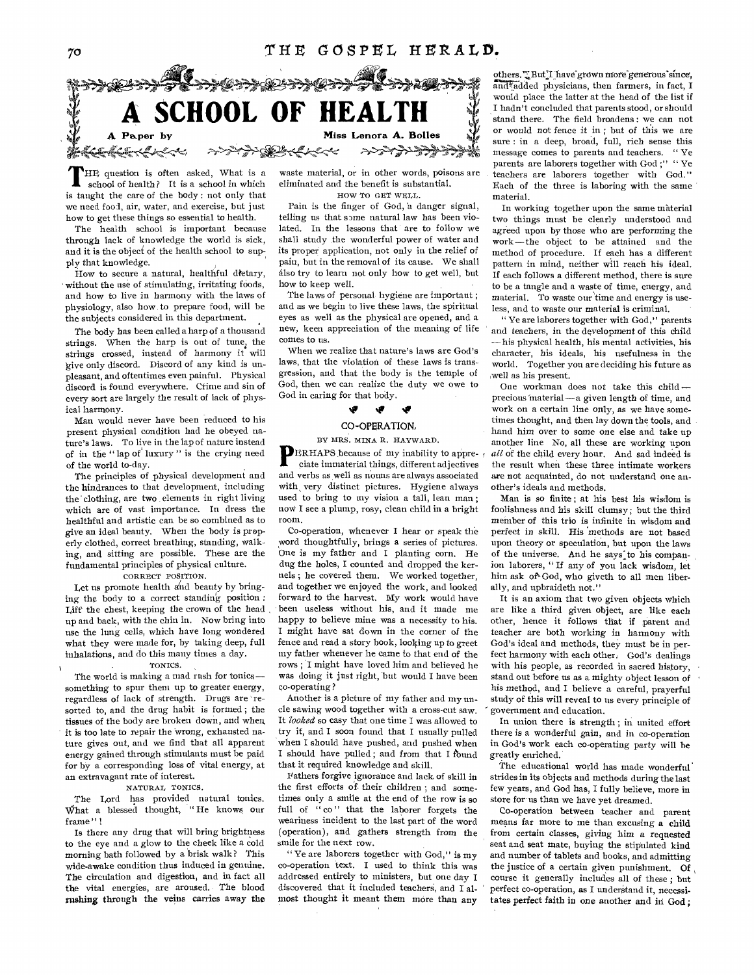

**T** HE question is often asked, What is a school of health ? It is a school in which is taught the care of the body : not only that we need food, air, water, and exercise, but just how to get these things so essential to health.

The health school is important because through lack of knowledge the world is sick, and it is the object of the health school to supply that knowledge.

How to secure a natural, healthful dietary, without the use of stimulating, irritating foods, and how to live in harmony with the laws of physiology, also how to prepare food, will be the subjects considered in this department.

The body has been called a harp of a thousand strings. When the harp is out of tune, the strings crossed, instead of harmony it will give only discord. Discord of any kind is unpleasant, and oftentimes even painful. Physical discord is found everywhere. Crime and sin of every sort are largely the result of lack of physical harmony.

Man would never have been reduced to his present physical condition had he obeyed nature's laws. To live in the lap of nature instead of in the "lap of luxury" is the crying need of the world to-day.

The principles of physical development and the hindrances to that development, including the clothing, are two elements in right living which are of vast importance. In dress the healthful and artistic can be so combined as to *give* an ideal beauty. When the body is properly clothed, correct breathing, standing, walking, and sitting are possible. These are the fundamental principles of physical culture.

CORRECT POSITION.

Let us promote health and beauty by bringing the body to a correct standing position : Lift the chest, keeping the crown of the head up and back, with the chin in. Now bring into use the lung cells, which have long wondered what they were made for, by taking deep, full inhalations, and do this many times a day.

TONICS. ,

The world is making a mad rush for tonics something to spur them up to greater energy, regardless of lack of strength. Drugs are resorted to, and the drug habit is formed ; the tissues of the body are broken down, and when, it is too late to repair the wrong, exhausted nature gives out, and we find that all apparent energy gained through stimulants must be paid for by a corresponding loss of vital energy, at an extravagant rate of interest.

NATURAL TONICS.

The Lord has provided natural tonics. what a blessed thought, " He knows our frame"!

Is there any drug that will bring brightness to the eye and a glow to the cheek like a cold morning bath followed by a brisk walk? This wide-awake condition thus induced in genuine. The circulation and digestion, and in fact all the vital energies, are aroused. The blood rushing through the veins carries away the

waste material, or in other words, poisons are eliminated and the benefit is substantial.

HOW To GET WELL.

Pain is the finger of God, a danger signal, telling us that some natural law has been violated. In the lessons that are to follow we shall study the wonderful power of water and its proper application, not only in the relief of pain, but in the removal of its cause. We shall Also try to learn not only how to get well, but how to keep well.

The laws of personal, hygiene are important; and as we begin to live these laws, the spiritual eyes as well as the physical are opened, and a new, keen appreciation of the meaning of life comes to us.

When we realize that nature's laws are God's laws, that the violation of these laws is transgression, and that the body is the temple of God, then we can realize the duty we owe to God in caring for that body.

# Is

# **CO-OPERATION,**

By MRS. MINA R. HAYWARD. **PERHAPS** because of my inability to appreciate immaterial things, different adjectives ciate immaterial things, different adjectives and verbs as well as nouns are always associated with very distinct pictures. Hygiene always used to bring to my vision a tall, lean man ; now I see a plump, rosy, clean child in a bright room.

Co-operation, whenever I hear or speak the word thoughtfully, brings a series of pictures. One is my father and I planting corn. He dug the holes, I counted and dropped the kernels ; he covered them. We worked together, and together we enjoyed the work, and looked forward to the harvest. My work would have been useless without his, and it made me happy to believe mine was a necessity to his. I might have sat down in the corner of the fence and read a story book, looking up to greet my father whenever he came to that end of the rows ; 'I might have loved him and believed he was doing it just right, but would I have been co-operating ?

Another is a picture of my father and my uncle sawing wood together with a cross-cut saw. It *looked* so easy that one time I was allowed to try it, and I soon found that I usually pulled when I should have pushed, and pushed when I should have pulled; and from that I found that it required knowledge and skill.

Fathers forgive ignorance and lack of skill in the first efforts of their children; and sometimes only a smile at the end of the row is so full of "co" that the laborer forgets the weariness incident to the last part of the word (operation), and gathers strength from the smile for the next row.

" Ye are laborers together with God," is my co-operation text. I used to think this was addressed entirely to ministers, but one day I discovered that it included teachers, and I almost thought it meant them more than any

others. T But I have grown more generous since, and\*added physicians, then farmers, in fact, I would place the latter at the head of the list if I hadn't concluded that parents stood, or should stand there. The field broadens : we can not or would not fence it in ; but of this we are sure : in a deep, broad, full, rich sense this message comes to parents and teachers. " Ye parents are laborers together with God ;" " Ye teachers are laborers together with God." Each of the three is laboring with the same material.

In working together upon the same material two things must be clearly understood and agreed upon by those who are performing the work —the object to be attained and the method of procedure. If each has a different pattern in mind, neither will reach his ideal. If each follows a different method, there is sure to be a tangle and a waste of time, energy, and material. To waste our time and energy is useless, and to waste our material is criminal.

" Ye are laborers together with God," parents and teachers, in the development of this child — his physical health, his mental activities, his character, his ideals, his usefulness in the world. Together you are deciding his future as well as his present.

One workman does not take this child precious 'material —a given length of time, and work on a certain line only, as we have sometimes thought, and then lay down the tools, and hand him over to some one else and take up another line No, all these are working upon *all* of the child every hour. And sad indeed is the result when these three intimate workers are not acquainted, do not understand one another's ideals and methods.

Man is so finite ; at his best his wisdom is foolishness and his skill clumsy ; but the third member of this trio is infinite in wisdom and perfect in skill. His methods are not based upon theory or speculation, but upon the laws of the universe. And he says to his companion laborers, " If any of you lack wisdom, let him ask of God, who giveth to all men liberally, and upbraideth not."

It is an axiom that two given objects which are like a third given object, are like each other, hence it follows that if parent and teacher are both working in harmony with God's ideal and methods, they must be in perfect harmony with each other, God's dealings with his people, as recorded in sacred history, stand out before us as a mighty object lesson of his method, and I believe a careful, prayerful study of this will reveal to us every principle of government and education.

In union there is strength ; in united effort there is a wonderful gain, and in co-operation in God's work each co-operating party will be greatly enriched.

The educational world has made wonderful strides in its objects and methods during the last few years, and God has, I fully believe, more in store for us than we have yet dreamed.

Co-operation between teacher and parent means far more to me than excusing a child from certain *classes, giving* him a requested seat and seat mate, buying the stipulated kind and number of tablets and books, and admitting the justice of a certain given punishment. Of , course it generally includes all of these ; but perfect co-operation, as I understand it, necessitates perfect faith in one another and in God ;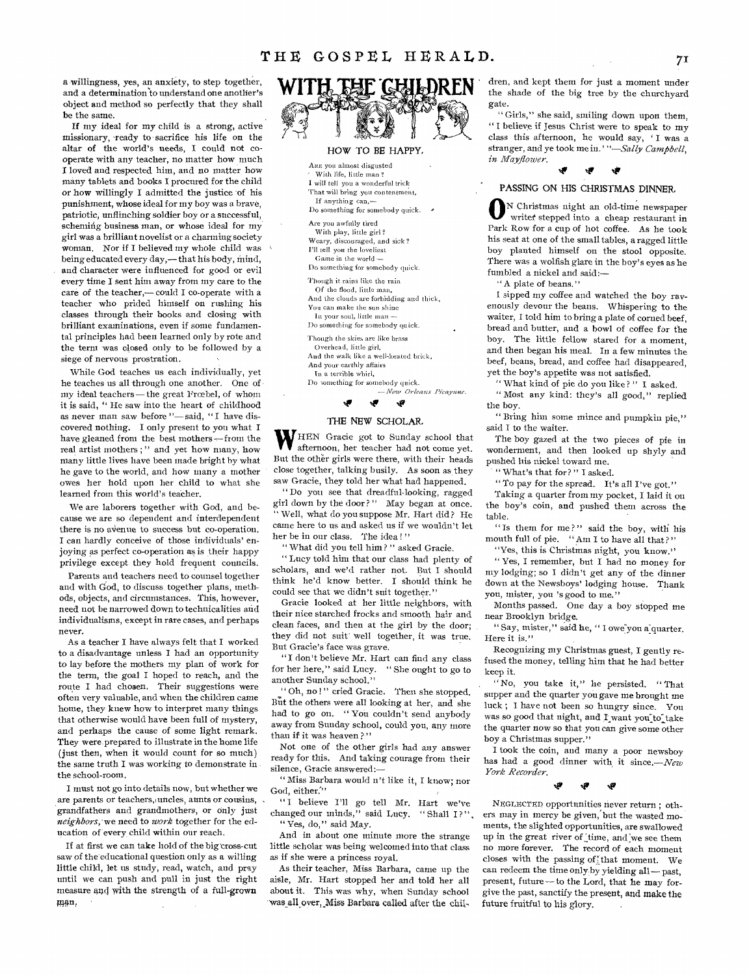a willingness, yes, an anxiety, to step together, and a determination to understand one another's object and method so perfectly that they shall be the same.

If my ideal for my child is a strong, active missionary, -ready to sacrifice his life on the altar of the world's needs, I could not cooperate with any teacher, no matter how much I loved and respected him, and no matter how many tablets and books I procured for the child or how willingly I admitted the justice of his punishment, whose ideal for my boy was a brave, patriotic, unflinching soldier boy or a successful, scheming business man, or whose ideal for my girl was a brilliant novelist or a charming society woman. Nor if I believed my whole child was being educated every day,— that his body, mind, and character were influenced for good or evil every time I sent him away from my care to the care of the teacher,— could I co-operate with a teacher who prided himself on rushing his classes through their books and closing with brilliant examinations, even if some fundamental principles had been learned only by rote and the term was closed only to be followed by a siege of nervous prostration.

While God teaches us each individually, yet he teaches us all through one another. One of my ideal teachers—the great Frcebel, of whom it is said, " He saw into the heart of childhood as never man saw before "— said, " I have discovered nothing. I only present to you what I have gleaned from the best mothers — from the real artist mothers;" and yet how many, how many little lives have been made bright by what he gave to the world, and how many a mother owes her hold upon her child to what she learned from this world's teacher.

We are laborers together with God, and because we are so dependent and interdependent there is no avenue to success but co-operation. I can hardly conceive of those individuals' enjoying as perfect co-operation as is their happy privilege except they hold frequent councils.

Parents and teachers need to counsel together and with God, to discuss together plans, methods, objects, and circumstances. This, however, need not be narrowed down to technicalities and individualisms, except in rare cases, and perhaps never.

As a teacher I have always felt that I worked to a disadvantage unless I had an opportunity to lay before the mothers my plan of work for the term, the goal I hoped to reach, and the route I had chosen. Their suggestions were often very valuable, and when the children came home, they knew how to interpret many things that otherwise would have been full of mystery, and perhaps the cause of some light remark. They were prepared to illustrate in the home life (just then, when it would count for so much) the same truth I was working to demonstrate in the school-room,

I must not go into details now, but whether we are parents or teachers, uncles, aunts or cousins, grandfathers and grandmothers, or only just *neighbors, we* need to *work* together for the education of every child within our reach.

If at first we can take hold of the big cross-cut saw of the educational question only as a willing little child, let us study, read, watch, and pray until we can push and pull in just the right measure and with the strength of a full-grown man,



# HOW TO BE HAPPY,

ARE you almost disgusted ' With life, little man? I will tell you a wonderful trick That will bring you contentment,

If anything can,— Do something for somebody quick.

Are you awfully tired With play, little girl? Weary, discouraged, and sick? I'll tell you the loveliest Game in the world —

Do something for somebody quick.

Though it rains like the rain Of the flood, little man, And the clouds are forbidding and thick, You can make the sun shine In your soul, little man — Do something for somebody quick.

Though the skies are like brass

ي

Overhead, little girl, And the walk like a well-heated brick. And your earthly affairs

In a terrible whirl, Do something for somebody quick. *—New Orleans Picayune.* 

#### Nri Ŵ

## THE NEW SCHOLAR.

WHEN Gracie got to Sunday school that afternoon, her teacher had not come yet. But the other girls were there, with their heads close together, talking busily. As soon as they saw Gracie, they told her what had happened.

" Do you see that dreadful-looking, ragged girl down by the door? " May began at once. " Well, what do you suppose Mr. Hart did ? He came here to us and asked us if we wouldn't let her be in our class. The idea!"

" What did you tell him?" asked Gracie.

" Lucy told him that our class had plenty of scholars, and we'd rather not. But I should think he'd know better. I should think he could see that we didn't suit together.'

Gracie looked at her little neighbors, with their nice starched frocks and smooth hair and clean faces, and then at the girl by the door; they did not suit well together, it was true. But Gracie's face was grave.

"I don't believe Mr. Hart can find any class<br>r her here," said Lucy. "She ought to go to for her here," said Lucy. another Sunday school."

" Oh, no!" cried Gracie. Then she stopped. But the others were all looking at her, and she had to go on. " You couldn't send anybody away from Sunday school, could you, any more than if it was heaven ? "

Not one of the other girls had any answer ready for this. And taking courage from their silence, Gracie answered:—

" Miss Barbara would n't like it, I know; nor God, either."

"I believe I'll go tell Mr. Hart we've changed our minds," said Lucy. "Shall I?". "Yes, do," said May.

And in about one minute more the strange little scholar was being welcomed into that class as if she were a princess royal.

As their teacher, Miss Barbara, came up the aisle, Mr. Hart stopped her and told her all about it. This was why, when Sunday school was all over, Miss Barbara called after the children, and kept them for just a moment under the shade of the big tree by the churchyard gate.

"Girls," she said, smiling down upon them, " I believe if Jesus Christ were to speak to my class this afternoon, he would say, 'I was a stranger, and ye took me in.' *"—Sally Campbell, in Mayflower.*  I/ kr ly

# PASSING ON HIS CHRISTMAS DINNER,

O N Christmas night an old-time newspaper writer stepped into a cheap restaurant in Park Row for a cup of hot coffee. As he took his seat at one of the small tables, a ragged little boy planted himself on the stool opposite. There was a wolfish glare in the boy's eyes as he fumbled a nickel and said:—

" A plate of beans."

I sipped my coffee and watched the boy ravenously devour the beans. Whispering to the waiter, I told him to bring a plate of corned beef, bread and butter, and a bowl of coffee for the boy. The little fellow stared for a moment, and then began his meal. In a few minutes the beef, beans, bread, and coffee had disappeared, yet the boy's appetite was not satisfied.

" What kind of pie do you like? " I asked.

" Most any kind: they's all good," replied the boy.

"Bring him some mince and pumpkin pie," said I to the waiter.

The boy gazed at the two pieces of pie in wonderment, and then looked up shyly and pushed his nickel toward me.

" What's that for?" I asked.

" To pay for the spread. It's all I've got." Taking a quarter from my pocket, I laid it on

the boy's coin, and pushed them across the table.

" Is them for me?" said the boy, with his mouth full of pie. " Am I to have all that?"

"Yes, this is Christmas night, you know."

" Yes, I remember, but I had no money for my lodging; so I didn't get any of the dinner down at the Newsboys' lodging house. Thank you, mister, you *'s* good to me."

Months passed. One day a boy stopped me near Brooklyn bridge.

"Say, mister," said he, "I owe you a quarter. Here it is."

Recognizing my Christmas guest, I gently refused the money, telling him that he had better keep it.

" No, you take it," he persisted. " That supper and the quarter you gave me brought me luck ; I have not been so hungry since. You was so good that night, and I want you to take the quarter now so that you can give some other boy a Christmas supper."

I took the coin, and many a poor newsboy has had a good dinner with it since.--New *York Recorder.* 



NEGLECTED opportunities never return ; others may in mercy be given, but the wasted moments, the slighted opportunities, are swallowed up in the great river of time, and we see them no more forever. The record of each moment closes with the passing of:that moment. We can redeem the time only by yielding all — past, present, future—to the Lord, that he may forgive the past, sanctify the present, and make the future fruitful to his glory.